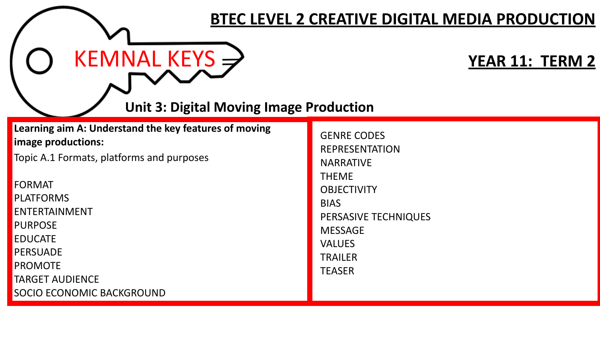|                                                                                                                                                                                                                                                                                                         | <b>BTEC LEVEL 2 CREATIVE DIGITAL MEDIA PRODUCTION</b>                                                                                                                                                              |
|---------------------------------------------------------------------------------------------------------------------------------------------------------------------------------------------------------------------------------------------------------------------------------------------------------|--------------------------------------------------------------------------------------------------------------------------------------------------------------------------------------------------------------------|
| KEMNAL KEYS $\Rightarrow$<br><b>Unit 3: Digital Moving Image Production</b>                                                                                                                                                                                                                             | <b>YEAR 11: TERM 2</b>                                                                                                                                                                                             |
| Learning aim A: Understand the key features of moving<br>image productions:<br>Topic A.1 Formats, platforms and purposes<br><b>FORMAT</b><br>PLATFORMS<br>ENTERTAINMENT<br><b>PURPOSE</b><br><b>EDUCATE</b><br>PERSUADE<br><b>PROMOTE</b><br><b>TARGET AUDIENCE</b><br><b>SOCIO ECONOMIC BACKGROUND</b> | <b>GENRE CODES</b><br><b>REPRESENTATION</b><br><b>NARRATIVE</b><br><b>THEME</b><br><b>OBJECTIVITY</b><br><b>BIAS</b><br>PERSASIVE TECHNIQUES<br><b>MESSAGE</b><br><b>VALUES</b><br><b>TRAILER</b><br><b>TEASER</b> |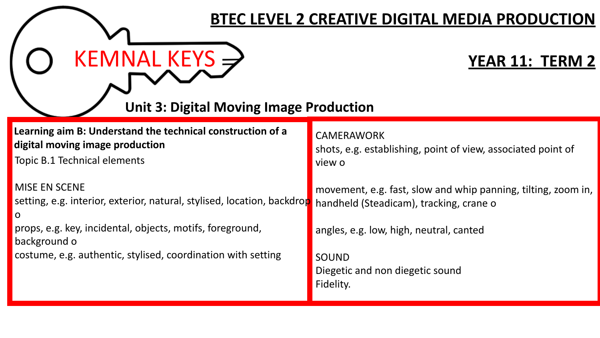| <b>BTEC LEVEL 2 CREATIVE DIGITAL MEDIA PRODUCTION</b>                                                                         |                                                                                                          |
|-------------------------------------------------------------------------------------------------------------------------------|----------------------------------------------------------------------------------------------------------|
| KEMNAL KEYS $\Rightarrow$<br><b>Unit 3: Digital Moving Image Production</b>                                                   | <b>YEAR 11: TERM 2</b>                                                                                   |
| Learning aim B: Understand the technical construction of a<br>digital moving image production<br>Topic B.1 Technical elements | <b>CAMERAWORK</b><br>shots, e.g. establishing, point of view, associated point of<br>view o              |
| <b>MISE EN SCENE</b><br>setting, e.g. interior, exterior, natural, stylised, location, backdrop<br>$\overline{O}$             | movement, e.g. fast, slow and whip panning, tilting, zoom in,<br>handheld (Steadicam), tracking, crane o |
| props, e.g. key, incidental, objects, motifs, foreground,<br>background o                                                     | angles, e.g. low, high, neutral, canted                                                                  |
| costume, e.g. authentic, stylised, coordination with setting                                                                  | <b>SOUND</b><br>Diegetic and non diegetic sound<br>Fidelity.                                             |